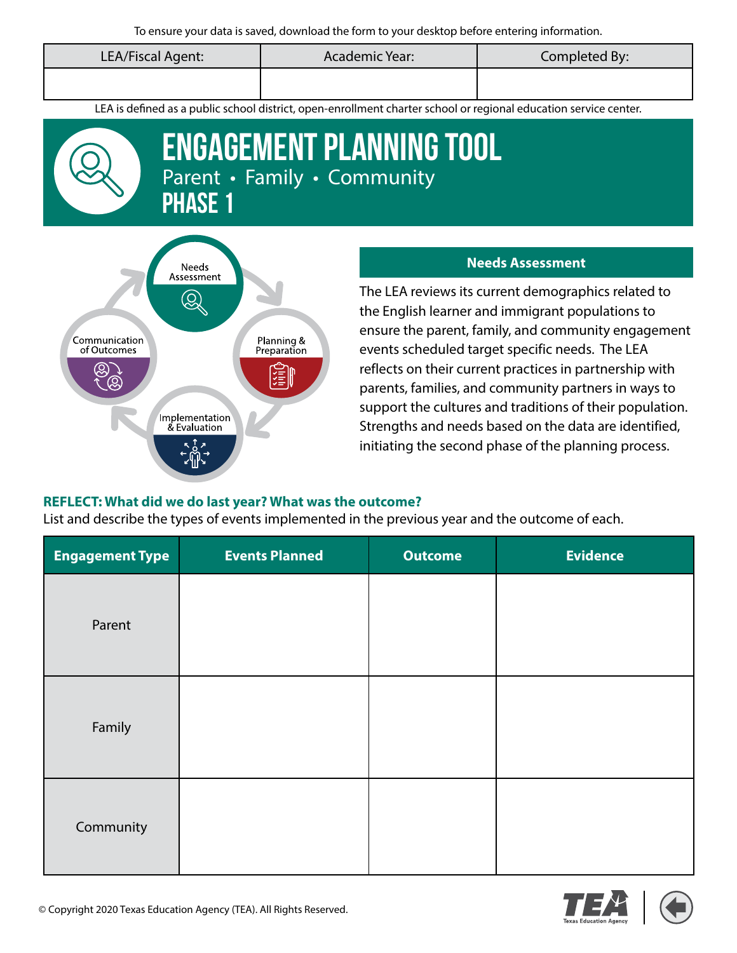| LEA/Fiscal Agent: | Academic Year: | Completed By: |
|-------------------|----------------|---------------|
|                   |                |               |

LEA is defined as a public school district, open-enrollment charter school or regional education service center.



# Engagement PLANNING TOOL Parent • Family • Community **PHASE 1**



#### **Needs Assessment**

The LEA reviews its current demographics related to the English learner and immigrant populations to ensure the parent, family, and community engagement events scheduled target specific needs. The LEA reflects on their current practices in partnership with parents, families, and community partners in ways to support the cultures and traditions of their population. Strengths and needs based on the data are identified, initiating the second phase of the planning process.

#### **REFLECT: What did we do last year? What was the outcome?**

List and describe the types of events implemented in the previous year and the outcome of each.

| <b>Engagement Type</b> | <b>Events Planned</b> | <b>Outcome</b> | <b>Evidence</b> |
|------------------------|-----------------------|----------------|-----------------|
| Parent                 |                       |                |                 |
| Family                 |                       |                |                 |
| Community              |                       |                |                 |



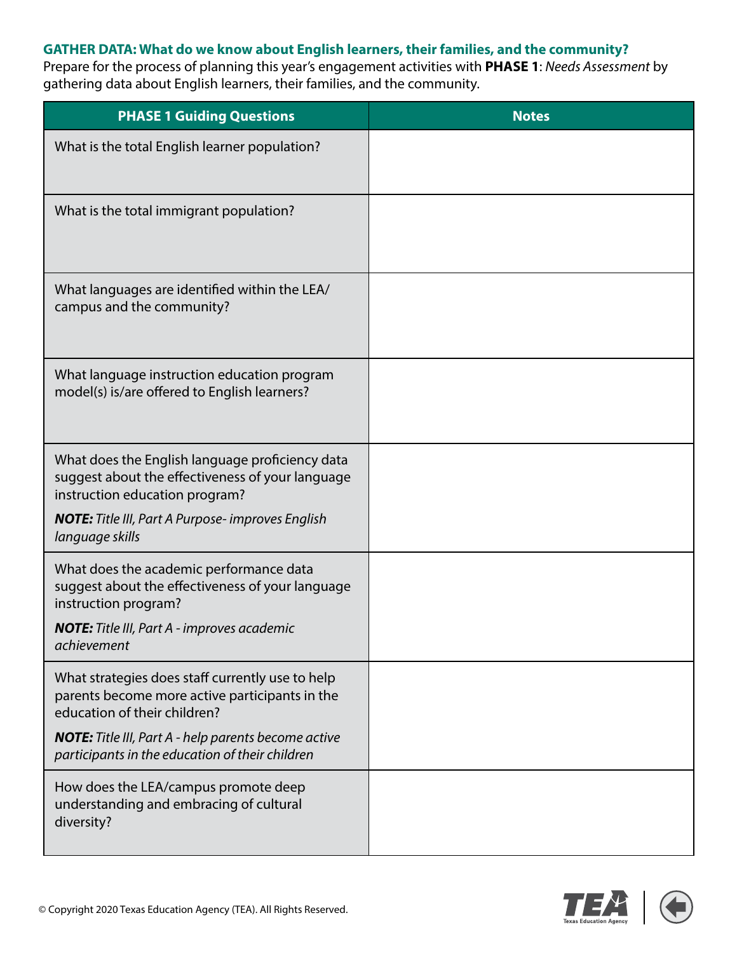## **GATHER DATA: What do we know about English learners, their families, and the community?**

Prepare for the process of planning this year's engagement activities with **PHASE 1**: *Needs Assessment* by gathering data about English learners, their families, and the community.

| <b>PHASE 1 Guiding Questions</b>                                                                                                      | <b>Notes</b> |
|---------------------------------------------------------------------------------------------------------------------------------------|--------------|
| What is the total English learner population?                                                                                         |              |
| What is the total immigrant population?                                                                                               |              |
| What languages are identified within the LEA/<br>campus and the community?                                                            |              |
| What language instruction education program<br>model(s) is/are offered to English learners?                                           |              |
| What does the English language proficiency data<br>suggest about the effectiveness of your language<br>instruction education program? |              |
| <b>NOTE:</b> Title III, Part A Purpose-improves English<br>language skills                                                            |              |
| What does the academic performance data<br>suggest about the effectiveness of your language<br>instruction program?                   |              |
| <b>NOTE:</b> Title III, Part A - improves academic<br>achievement                                                                     |              |
| What strategies does staff currently use to help<br>parents become more active participants in the<br>education of their children?    |              |
| <b>NOTE:</b> Title III, Part A - help parents become active<br>participants in the education of their children                        |              |
| How does the LEA/campus promote deep<br>understanding and embracing of cultural<br>diversity?                                         |              |

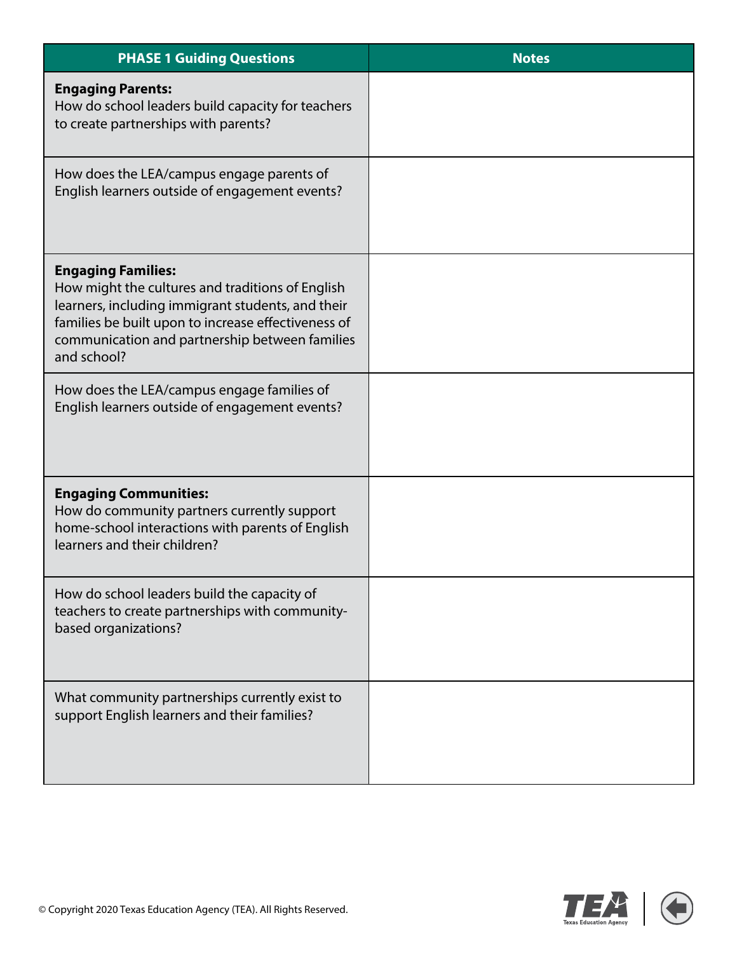| <b>PHASE 1 Guiding Questions</b>                                                                                                                                                                                                                           | <b>Notes</b> |
|------------------------------------------------------------------------------------------------------------------------------------------------------------------------------------------------------------------------------------------------------------|--------------|
| <b>Engaging Parents:</b><br>How do school leaders build capacity for teachers<br>to create partnerships with parents?                                                                                                                                      |              |
| How does the LEA/campus engage parents of<br>English learners outside of engagement events?                                                                                                                                                                |              |
| <b>Engaging Families:</b><br>How might the cultures and traditions of English<br>learners, including immigrant students, and their<br>families be built upon to increase effectiveness of<br>communication and partnership between families<br>and school? |              |
| How does the LEA/campus engage families of<br>English learners outside of engagement events?                                                                                                                                                               |              |
| <b>Engaging Communities:</b><br>How do community partners currently support<br>home-school interactions with parents of English<br>learners and their children?                                                                                            |              |
| How do school leaders build the capacity of<br>teachers to create partnerships with community-<br>based organizations?                                                                                                                                     |              |
| What community partnerships currently exist to<br>support English learners and their families?                                                                                                                                                             |              |